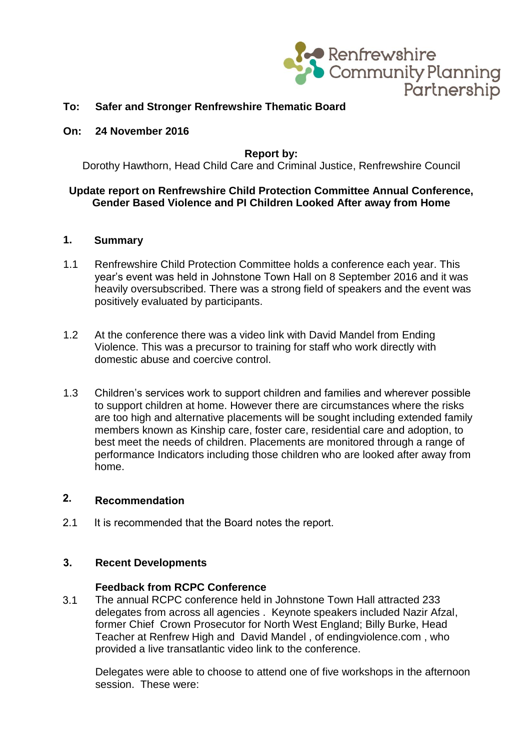

## **To: Safer and Stronger Renfrewshire Thematic Board**

#### **On: 24 November 2016**

#### **Report by:**

Dorothy Hawthorn, Head Child Care and Criminal Justice, Renfrewshire Council

### **Update report on Renfrewshire Child Protection Committee Annual Conference, Gender Based Violence and PI Children Looked After away from Home**

# **1. Summary**

- 1.1 Renfrewshire Child Protection Committee holds a conference each year. This year's event was held in Johnstone Town Hall on 8 September 2016 and it was heavily oversubscribed. There was a strong field of speakers and the event was positively evaluated by participants.
- 1.2 At the conference there was a video link with David Mandel from Ending Violence. This was a precursor to training for staff who work directly with domestic abuse and coercive control.
- 1.3 Children's services work to support children and families and wherever possible to support children at home. However there are circumstances where the risks are too high and alternative placements will be sought including extended family members known as Kinship care, foster care, residential care and adoption, to best meet the needs of children. Placements are monitored through a range of performance Indicators including those children who are looked after away from home.

# **2. Recommendation**

2.1 It is recommended that the Board notes the report.

### **3. Recent Developments**

#### **Feedback from RCPC Conference**

3.1 The annual RCPC conference held in Johnstone Town Hall attracted 233 delegates from across all agencies . Keynote speakers included Nazir Afzal, former Chief Crown Prosecutor for North West England; Billy Burke, Head Teacher at Renfrew High and David Mandel , of endingviolence.com , who provided a live transatlantic video link to the conference.

Delegates were able to choose to attend one of five workshops in the afternoon session. These were: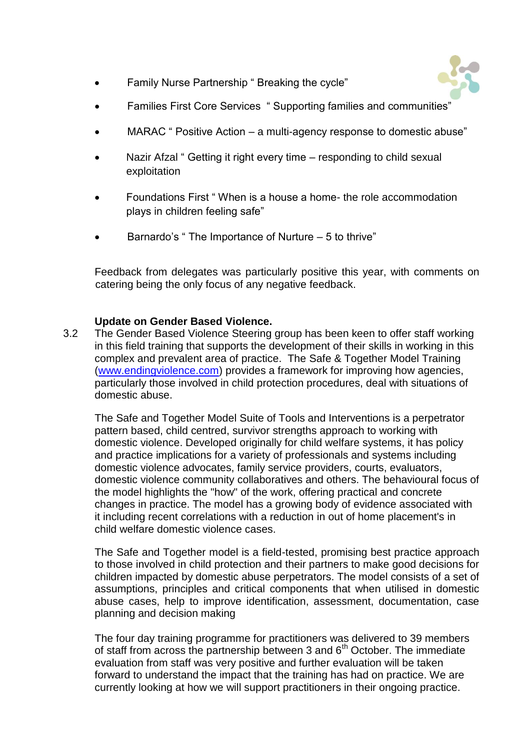

- Family Nurse Partnership " Breaking the cycle"
- Families First Core Services " Supporting families and communities"
- MARAC " Positive Action a multi-agency response to domestic abuse"
- Nazir Afzal " Getting it right every time responding to child sexual exploitation
- Foundations First " When is a house a home- the role accommodation plays in children feeling safe"
- Barnardo's " The Importance of Nurture 5 to thrive"

Feedback from delegates was particularly positive this year, with comments on catering being the only focus of any negative feedback.

# **Update on Gender Based Violence.**

3.2 The Gender Based Violence Steering group has been keen to offer staff working in this field training that supports the development of their skills in working in this complex and prevalent area of practice. The Safe & Together Model Training [\(www.endingviolence.com\)](http://www.endingviolence.com/) provides a framework for improving how agencies, particularly those involved in child protection procedures, deal with situations of domestic abuse.

The Safe and Together Model Suite of Tools and Interventions is a perpetrator pattern based, child centred, survivor strengths approach to working with domestic violence. Developed originally for child welfare systems, it has policy and practice implications for a variety of professionals and systems including domestic violence advocates, family service providers, courts, evaluators, domestic violence community collaboratives and others. The behavioural focus of the model highlights the "how" of the work, offering practical and concrete changes in practice. The model has a growing body of evidence associated with it including recent correlations with a reduction in out of home placement's in child welfare domestic violence cases.

The Safe and Together model is a field-tested, promising best practice approach to those involved in child protection and their partners to make good decisions for children impacted by domestic abuse perpetrators. The model consists of a set of assumptions, principles and critical components that when utilised in domestic abuse cases, help to improve identification, assessment, documentation, case planning and decision making

The four day training programme for practitioners was delivered to 39 members of staff from across the partnership between 3 and  $6<sup>th</sup>$  October. The immediate evaluation from staff was very positive and further evaluation will be taken forward to understand the impact that the training has had on practice. We are currently looking at how we will support practitioners in their ongoing practice.